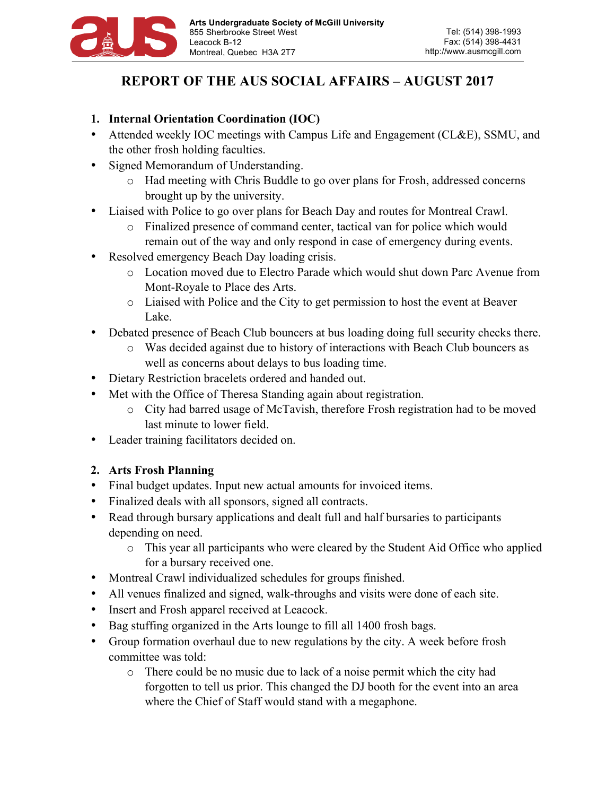

# **REPORT OF THE AUS SOCIAL AFFAIRS – AUGUST 2017**

### **1. Internal Orientation Coordination (IOC)**

- Attended weekly IOC meetings with Campus Life and Engagement (CL&E), SSMU, and the other frosh holding faculties.
- Signed Memorandum of Understanding.
	- o Had meeting with Chris Buddle to go over plans for Frosh, addressed concerns brought up by the university.
- Liaised with Police to go over plans for Beach Day and routes for Montreal Crawl.
	- o Finalized presence of command center, tactical van for police which would remain out of the way and only respond in case of emergency during events.
- Resolved emergency Beach Day loading crisis.
	- o Location moved due to Electro Parade which would shut down Parc Avenue from Mont-Royale to Place des Arts.
	- o Liaised with Police and the City to get permission to host the event at Beaver Lake.
- Debated presence of Beach Club bouncers at bus loading doing full security checks there.
	- o Was decided against due to history of interactions with Beach Club bouncers as well as concerns about delays to bus loading time.
- Dietary Restriction bracelets ordered and handed out.
- Met with the Office of Theresa Standing again about registration.
	- o City had barred usage of McTavish, therefore Frosh registration had to be moved last minute to lower field.
- Leader training facilitators decided on.

# **2. Arts Frosh Planning**

- Final budget updates. Input new actual amounts for invoiced items.
- Finalized deals with all sponsors, signed all contracts.
- Read through bursary applications and dealt full and half bursaries to participants depending on need.
	- o This year all participants who were cleared by the Student Aid Office who applied for a bursary received one.
- Montreal Crawl individualized schedules for groups finished.
- All venues finalized and signed, walk-throughs and visits were done of each site.
- Insert and Frosh apparel received at Leacock.
- Bag stuffing organized in the Arts lounge to fill all 1400 frosh bags.
- Group formation overhaul due to new regulations by the city. A week before frosh committee was told:
	- o There could be no music due to lack of a noise permit which the city had forgotten to tell us prior. This changed the DJ booth for the event into an area where the Chief of Staff would stand with a megaphone.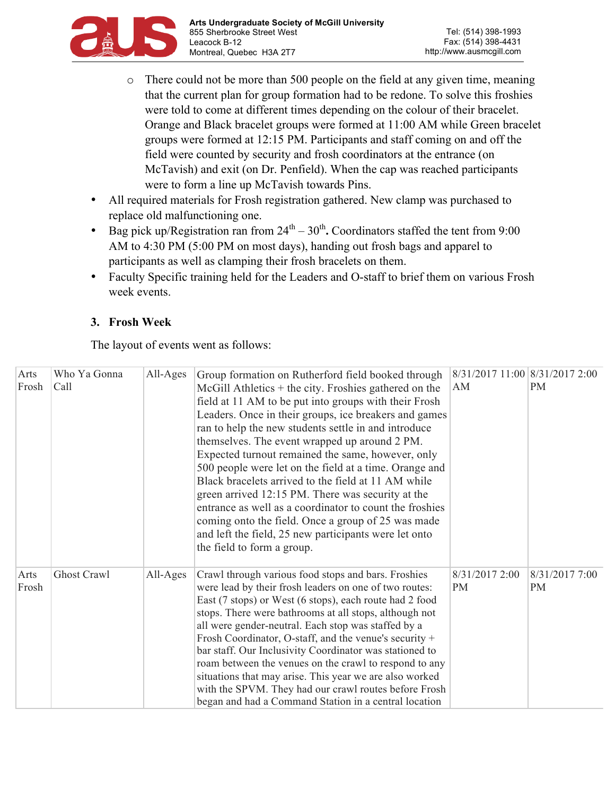

- o There could not be more than 500 people on the field at any given time, meaning that the current plan for group formation had to be redone. To solve this froshies were told to come at different times depending on the colour of their bracelet. Orange and Black bracelet groups were formed at 11:00 AM while Green bracelet groups were formed at 12:15 PM. Participants and staff coming on and off the field were counted by security and frosh coordinators at the entrance (on McTavish) and exit (on Dr. Penfield). When the cap was reached participants were to form a line up McTavish towards Pins.
- All required materials for Frosh registration gathered. New clamp was purchased to replace old malfunctioning one.
- Bag pick up/Registration ran from  $24<sup>th</sup> 30<sup>th</sup>$ . Coordinators staffed the tent from 9:00 AM to 4:30 PM (5:00 PM on most days), handing out frosh bags and apparel to participants as well as clamping their frosh bracelets on them.
- Faculty Specific training held for the Leaders and O-staff to brief them on various Frosh week events.

## **3. Frosh Week**

The layout of events went as follows:

| Arts  | Who Ya Gonna | All-Ages | Group formation on Rutherford field booked through      | 8/31/2017 11:00 8/31/2017 2:00 |                |
|-------|--------------|----------|---------------------------------------------------------|--------------------------------|----------------|
| Frosh | Call         |          | $McGill$ Athletics + the city. Froshies gathered on the | AM                             | <b>PM</b>      |
|       |              |          | field at 11 AM to be put into groups with their Frosh   |                                |                |
|       |              |          | Leaders. Once in their groups, ice breakers and games   |                                |                |
|       |              |          | ran to help the new students settle in and introduce    |                                |                |
|       |              |          | themselves. The event wrapped up around 2 PM.           |                                |                |
|       |              |          | Expected turnout remained the same, however, only       |                                |                |
|       |              |          | 500 people were let on the field at a time. Orange and  |                                |                |
|       |              |          | Black bracelets arrived to the field at 11 AM while     |                                |                |
|       |              |          | green arrived 12:15 PM. There was security at the       |                                |                |
|       |              |          | entrance as well as a coordinator to count the froshies |                                |                |
|       |              |          | coming onto the field. Once a group of 25 was made      |                                |                |
|       |              |          | and left the field, 25 new participants were let onto   |                                |                |
|       |              |          | the field to form a group.                              |                                |                |
|       |              |          |                                                         |                                |                |
| Arts  | Ghost Crawl  | All-Ages | Crawl through various food stops and bars. Froshies     | 8/31/2017 2:00                 | 8/31/2017 7:00 |
| Frosh |              |          | were lead by their frosh leaders on one of two routes:  | <b>PM</b>                      | <b>PM</b>      |
|       |              |          | East (7 stops) or West (6 stops), each route had 2 food |                                |                |
|       |              |          | stops. There were bathrooms at all stops, although not  |                                |                |
|       |              |          | all were gender-neutral. Each stop was staffed by a     |                                |                |
|       |              |          | Frosh Coordinator, O-staff, and the venue's security +  |                                |                |
|       |              |          | bar staff. Our Inclusivity Coordinator was stationed to |                                |                |
|       |              |          | roam between the venues on the crawl to respond to any  |                                |                |
|       |              |          | situations that may arise. This year we are also worked |                                |                |
|       |              |          | with the SPVM. They had our crawl routes before Frosh   |                                |                |
|       |              |          | began and had a Command Station in a central location   |                                |                |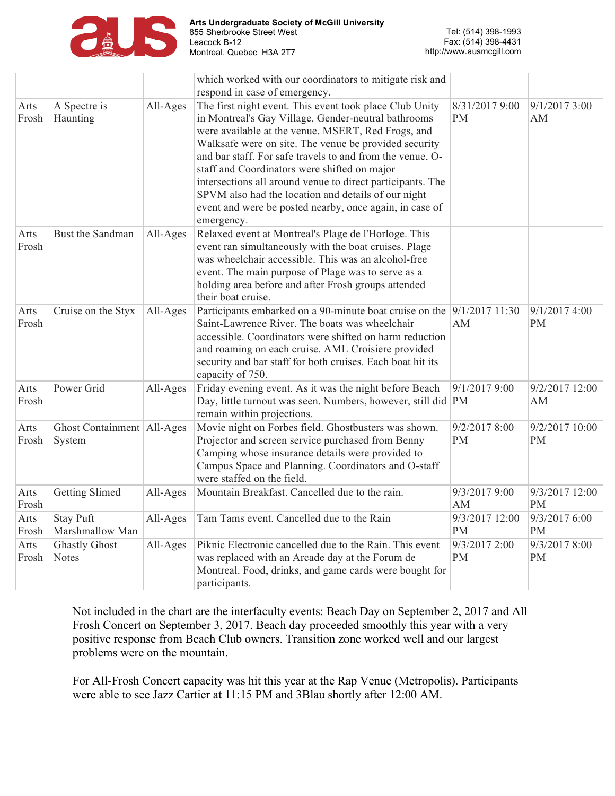

|               |                                        |          | which worked with our coordinators to mitigate risk and<br>respond in case of emergency.                                                                                                                                                                                                                                                                                                                                                                                                                                                 |                             |                             |
|---------------|----------------------------------------|----------|------------------------------------------------------------------------------------------------------------------------------------------------------------------------------------------------------------------------------------------------------------------------------------------------------------------------------------------------------------------------------------------------------------------------------------------------------------------------------------------------------------------------------------------|-----------------------------|-----------------------------|
| Arts<br>Frosh | A Spectre is<br>Haunting               | All-Ages | The first night event. This event took place Club Unity<br>in Montreal's Gay Village. Gender-neutral bathrooms<br>were available at the venue. MSERT, Red Frogs, and<br>Walksafe were on site. The venue be provided security<br>and bar staff. For safe travels to and from the venue, O-<br>staff and Coordinators were shifted on major<br>intersections all around venue to direct participants. The<br>SPVM also had the location and details of our night<br>event and were be posted nearby, once again, in case of<br>emergency. | 8/31/2017 9:00<br><b>PM</b> | 9/1/20173:00<br>AM          |
| Arts<br>Frosh | Bust the Sandman                       | All-Ages | Relaxed event at Montreal's Plage de l'Horloge. This<br>event ran simultaneously with the boat cruises. Plage<br>was wheelchair accessible. This was an alcohol-free<br>event. The main purpose of Plage was to serve as a<br>holding area before and after Frosh groups attended<br>their boat cruise.                                                                                                                                                                                                                                  |                             |                             |
| Arts<br>Frosh | Cruise on the Styx                     | All-Ages | Participants embarked on a 90-minute boat cruise on the 9/1/2017 11:30<br>Saint-Lawrence River. The boats was wheelchair<br>accessible. Coordinators were shifted on harm reduction<br>and roaming on each cruise. AML Croisiere provided<br>security and bar staff for both cruises. Each boat hit its<br>capacity of 750.                                                                                                                                                                                                              | AM                          | 9/1/2017 4:00<br><b>PM</b>  |
| Arts<br>Frosh | Power Grid                             | All-Ages | Friday evening event. As it was the night before Beach<br>Day, little turnout was seen. Numbers, however, still did PM<br>remain within projections.                                                                                                                                                                                                                                                                                                                                                                                     | 9/1/2017 9:00               | 9/2/2017 12:00<br>AM        |
| Arts<br>Frosh | Ghost Containment   All-Ages<br>System |          | Movie night on Forbes field. Ghostbusters was shown.<br>Projector and screen service purchased from Benny<br>Camping whose insurance details were provided to<br>Campus Space and Planning. Coordinators and O-staff<br>were staffed on the field.                                                                                                                                                                                                                                                                                       | 9/2/2017 8:00<br><b>PM</b>  | 9/2/2017 10:00<br>PM        |
| Arts<br>Frosh | Getting Slimed                         | All-Ages | Mountain Breakfast. Cancelled due to the rain.                                                                                                                                                                                                                                                                                                                                                                                                                                                                                           | 9/3/2017 9:00<br>AM         | 9/3/2017 12:00<br><b>PM</b> |
| Arts<br>Frosh | <b>Stay Puft</b><br>Marshmallow Man    | All-Ages | Tam Tams event. Cancelled due to the Rain                                                                                                                                                                                                                                                                                                                                                                                                                                                                                                | 9/3/2017 12:00<br><b>PM</b> | 9/3/2017 6:00<br><b>PM</b>  |
| Arts<br>Frosh | <b>Ghastly Ghost</b><br><b>Notes</b>   | All-Ages | Piknic Electronic cancelled due to the Rain. This event<br>was replaced with an Arcade day at the Forum de<br>Montreal. Food, drinks, and game cards were bought for<br>participants.                                                                                                                                                                                                                                                                                                                                                    | 9/3/2017 2:00<br><b>PM</b>  | 9/3/2017 8:00<br><b>PM</b>  |

Not included in the chart are the interfaculty events: Beach Day on September 2, 2017 and All Frosh Concert on September 3, 2017. Beach day proceeded smoothly this year with a very positive response from Beach Club owners. Transition zone worked well and our largest problems were on the mountain.

For All-Frosh Concert capacity was hit this year at the Rap Venue (Metropolis). Participants were able to see Jazz Cartier at 11:15 PM and 3Blau shortly after 12:00 AM.